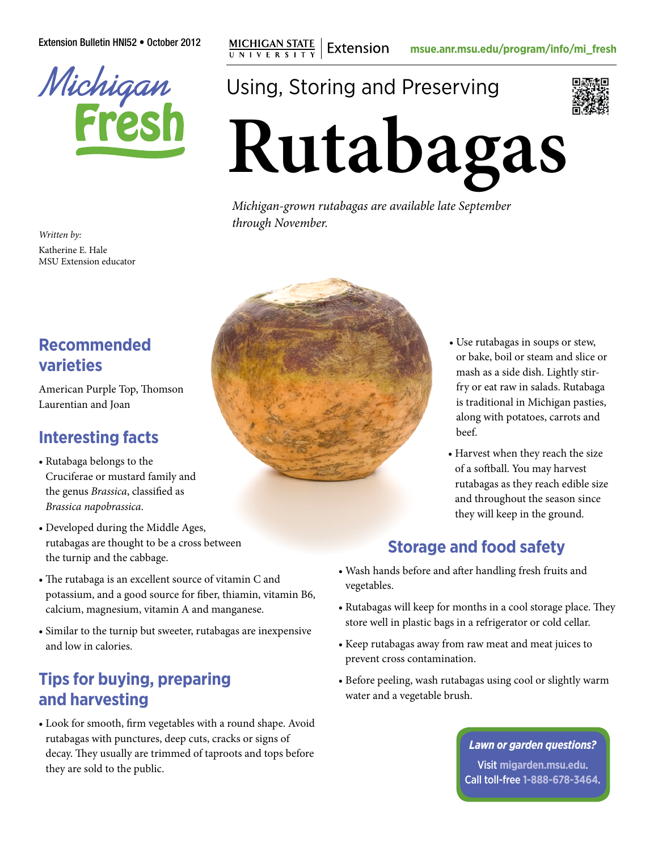Extension Bulletin HNI52 • October 2012 **MICHIGAN STATE** | Extension [msue.anr.msu.edu/program/info/mi\\_fresh](http://msue.anr.msu.edu/program/info/mi_fresh)

Michigan<br>Frest

*Written by:* Katherine E. Hale MSU Extension educator

## **Recommended varieties**

American Purple Top, Thomson Laurentian and Joan

# **Interesting facts**

- Rutabaga belongs to the Cruciferae or mustard family and the genus *Brassica*, classified as *Brassica napobrassica*.
- Developed during the Middle Ages, rutabagas are thought to be a cross between the turnip and the cabbage.
- The rutabaga is an excellent source of vitamin C and potassium, and a good source for fiber, thiamin, vitamin B6, calcium, magnesium, vitamin A and manganese.
- Similar to the turnip but sweeter, rutabagas are inexpensive and low in calories.

## **Tips for buying, preparing and harvesting**

• Look for smooth, firm vegetables with a round shape. Avoid rutabagas with punctures, deep cuts, cracks or signs of decay. They usually are trimmed of taproots and tops before they are sold to the public.

Using, Storing and Preserving



**Rutabagas** 

*Michigan-grown rutabagas are available late September through November.*



- Use rutabagas in soups or stew, or bake, boil or steam and slice or mash as a side dish. Lightly stirfry or eat raw in salads. Rutabaga is traditional in Michigan pasties, along with potatoes, carrots and beef.
- Harvest when they reach the size of a softball. You may harvest rutabagas as they reach edible size and throughout the season since they will keep in the ground.

# **Storage and food safety**

- Wash hands before and after handling fresh fruits and vegetables.
- Rutabagas will keep for months in a cool storage place. They store well in plastic bags in a refrigerator or cold cellar.
- Keep rutabagas away from raw meat and meat juices to prevent cross contamination.
- Before peeling, wash rutabagas using cool or slightly warm water and a vegetable brush.

#### *Lawn or garden questions?*

Visit **[migarden.msu.edu](http://migarden.msu.edu)**. Call toll-free **1-888-678-3464**.